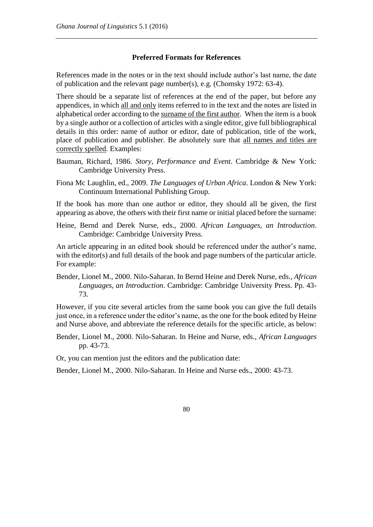## **Preferred Formats for References**

References made in the notes or in the text should include author's last name, the date of publication and the relevant page number(s), e.g. (Chomsky 1972: 63-4).

There should be a separate list of references at the end of the paper, but before any appendices, in which all and only items referred to in the text and the notes are listed in alphabetical order according to the surname of the first author. When the item is a book by a single author or a collection of articles with a single editor, give full bibliographical details in this order: name of author or editor, date of publication, title of the work, place of publication and publisher. Be absolutely sure that all names and titles are correctly spelled. Examples:

- Bauman, Richard, 1986. *Story, Performance and Event*. Cambridge & New York: Cambridge University Press.
- Fiona Mc Laughlin, ed., 2009. *The Languages of Urban Africa*. London & New York: Continuum International Publishing Group.

If the book has more than one author or editor, they should all be given, the first appearing as above, the others with their first name or initial placed before the surname:

Heine, Bernd and Derek Nurse, eds., 2000. *African Languages, an Introduction*. Cambridge: Cambridge University Press.

An article appearing in an edited book should be referenced under the author's name, with the editor(s) and full details of the book and page numbers of the particular article. For example:

Bender, Lionel M., 2000. Nilo-Saharan. In Bernd Heine and Derek Nurse, eds., *African Languages, an Introduction*. Cambridge: Cambridge University Press. Pp. 43- 73.

However, if you cite several articles from the same book you can give the full details just once, in a reference under the editor's name, as the one for the book edited by Heine and Nurse above, and abbreviate the reference details for the specific article, as below:

Bender, Lionel M., 2000. Nilo-Saharan. In Heine and Nurse, eds., *African Languages* pp. 43-73.

Or, you can mention just the editors and the publication date:

Bender, Lionel M., 2000. Nilo-Saharan. In Heine and Nurse eds., 2000: 43-73.